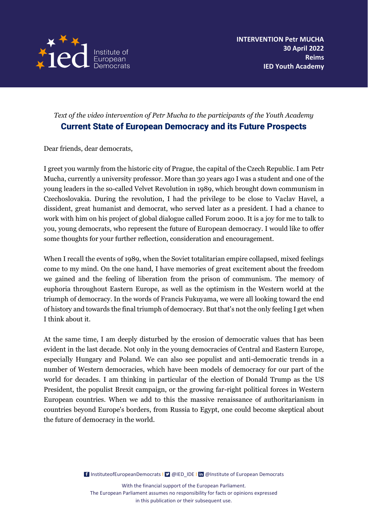

# *Text of the video intervention of Petr Mucha to the participants of the Youth Academy* Current State of European Democracy and its Future Prospects

Dear friends, dear democrats,

I greet you warmly from the historic city of Prague, the capital of the Czech Republic. I am Petr Mucha, currently a university professor. More than 30 years ago I was a student and one of the young leaders in the so-called Velvet Revolution in 1989, which brought down communism in Czechoslovakia. During the revolution, I had the privilege to be close to Vaclav Havel, a dissident, great humanist and democrat, who served later as a president. I had a chance to work with him on his project of global dialogue called Forum 2000. It is a joy for me to talk to you, young democrats, who represent the future of European democracy. I would like to offer some thoughts for your further reflection, consideration and encouragement.

When I recall the events of 1989, when the Soviet totalitarian empire collapsed, mixed feelings come to my mind. On the one hand, I have memories of great excitement about the freedom we gained and the feeling of liberation from the prison of communism. The memory of euphoria throughout Eastern Europe, as well as the optimism in the Western world at the triumph of democracy. In the words of Francis Fukuyama, we were all looking toward the end of history and towards the final triumph of democracy. But that's not the only feeling I get when I think about it.

At the same time, I am deeply disturbed by the erosion of democratic values that has been evident in the last decade. Not only in the young democracies of Central and Eastern Europe, especially Hungary and Poland. We can also see populist and anti-democratic trends in a number of Western democracies, which have been models of democracy for our part of the world for decades. I am thinking in particular of the election of Donald Trump as the US President, the populist Brexit campaign, or the growing far-right political forces in Western European countries. When we add to this the massive renaissance of authoritarianism in countries beyond Europe's borders, from Russia to Egypt, one could become skeptical about the future of democracy in the world.

[InstituteofEuropeanDemocrats](https://www.facebook.com/InstituteofEuropeanDemocrats) | 9 @IED\_IDE | In [@Institute of European Democrats](https://www.linkedin.com/company/institute-of-european-democrats/)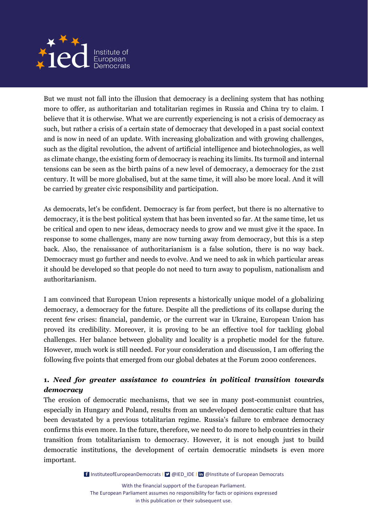

But we must not fall into the illusion that democracy is a declining system that has nothing more to offer, as authoritarian and totalitarian regimes in Russia and China try to claim. I believe that it is otherwise. What we are currently experiencing is not a crisis of democracy as such, but rather a crisis of a certain state of democracy that developed in a past social context and is now in need of an update. With increasing globalization and with growing challenges, such as the digital revolution, the advent of artificial intelligence and biotechnologies, as well as climate change, the existing form of democracy is reaching its limits. Its turmoil and internal tensions can be seen as the birth pains of a new level of democracy, a democracy for the 21st century. It will be more globalised, but at the same time, it will also be more local. And it will be carried by greater civic responsibility and participation.

As democrats, let's be confident. Democracy is far from perfect, but there is no alternative to democracy, it is the best political system that has been invented so far. At the same time, let us be critical and open to new ideas, democracy needs to grow and we must give it the space. In response to some challenges, many are now turning away from democracy, but this is a step back. Also, the renaissance of authoritarianism is a false solution, there is no way back. Democracy must go further and needs to evolve. And we need to ask in which particular areas it should be developed so that people do not need to turn away to populism, nationalism and authoritarianism.

I am convinced that European Union represents a historically unique model of a globalizing democracy, a democracy for the future. Despite all the predictions of its collapse during the recent few crises: financial, pandemic, or the current war in Ukraine, European Union has proved its credibility. Moreover, it is proving to be an effective tool for tackling global challenges. Her balance between globality and locality is a prophetic model for the future. However, much work is still needed. For your consideration and discussion, I am offering the following five points that emerged from our global debates at the Forum 2000 conferences.

# **1.** *Need for greater assistance to countries in political transition towards democracy*

The erosion of democratic mechanisms, that we see in many post-communist countries, especially in Hungary and Poland, results from an undeveloped democratic culture that has been devastated by a previous totalitarian regime. Russia's failure to embrace democracy confirms this even more. In the future, therefore, we need to do more to help countries in their transition from totalitarianism to democracy. However, it is not enough just to build democratic institutions, the development of certain democratic mindsets is even more important.

[InstituteofEuropeanDemocrats](https://www.facebook.com/InstituteofEuropeanDemocrats) | 9 @IED\_IDE | In [@Institute of European Democrats](https://www.linkedin.com/company/institute-of-european-democrats/)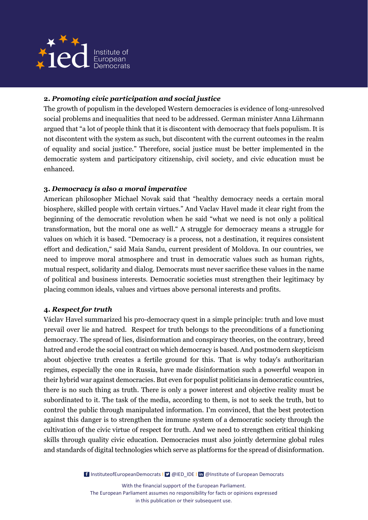

## **2.** *Promoting civic participation and social justice*

The growth of populism in the developed Western democracies is evidence of long-unresolved social problems and inequalities that need to be addressed. German minister Anna Lührmann argued that "a lot of people think that it is discontent with democracy that fuels populism. It is not discontent with the system as such, but discontent with the current outcomes in the realm of equality and social justice." Therefore, social justice must be better implemented in the democratic system and participatory citizenship, civil society, and civic education must be enhanced.

### **3.** *Democracy is also a moral imperative*

American philosopher Michael Novak said that "healthy democracy needs a certain moral biosphere, skilled people with certain virtues." And Vaclav Havel made it clear right from the beginning of the democratic revolution when he said "what we need is not only a political transformation, but the moral one as well." A struggle for democracy means a struggle for values on which it is based. "Democracy is a process, not a destination, it requires consistent effort and dedication," said Maia Sandu, current president of Moldova. In our countries, we need to improve moral atmosphere and trust in democratic values such as human rights, mutual respect, solidarity and dialog. Democrats must never sacrifice these values in the name of political and business interests. Democratic societies must strengthen their legitimacy by placing common ideals, values and virtues above personal interests and profits.

#### **4.** *Respect for truth*

Václav Havel summarized his pro-democracy quest in a simple principle: truth and love must prevail over lie and hatred. Respect for truth belongs to the preconditions of a functioning democracy. The spread of lies, disinformation and conspiracy theories, on the contrary, breed hatred and erode the social contract on which democracy is based. And postmodern skepticism about objective truth creates a fertile ground for this. That is why today's authoritarian regimes, especially the one in Russia, have made disinformation such a powerful weapon in their hybrid war against democracies. But even for populist politicians in democratic countries, there is no such thing as truth. There is only a power interest and objective reality must be subordinated to it. The task of the media, according to them, is not to seek the truth, but to control the public through manipulated information. I'm convinced, that the best protection against this danger is to strengthen the immune system of a democratic society through the cultivation of the civic virtue of respect for truth. And we need to strengthen critical thinking skills through quality civic education. Democracies must also jointly determine global rules and standards of digital technologies which serve as platforms for the spread of disinformation.

[InstituteofEuropeanDemocrats](https://www.facebook.com/InstituteofEuropeanDemocrats) | 9 @IED\_IDE | In [@Institute of European Democrats](https://www.linkedin.com/company/institute-of-european-democrats/)